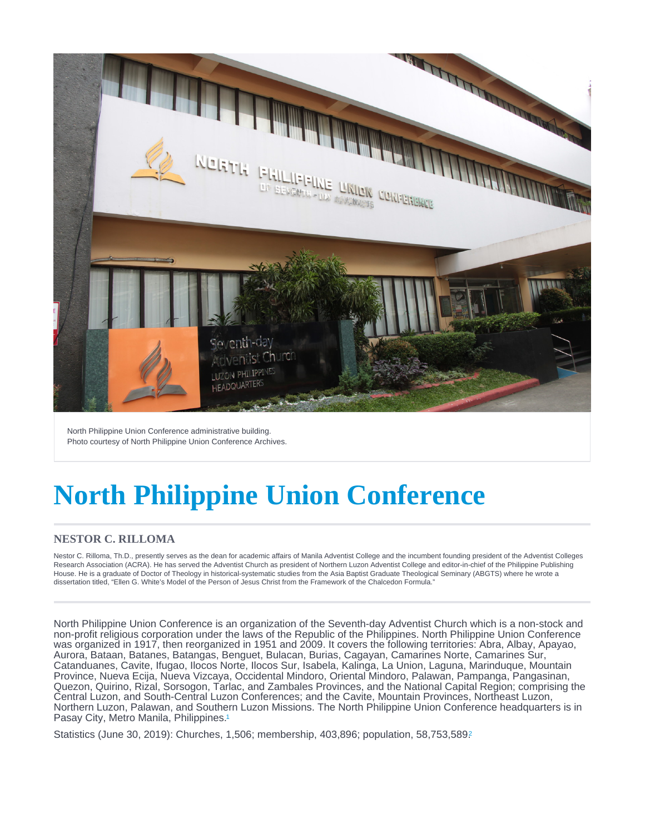<span id="page-0-0"></span>North Philippine Union Conference administrative building. Photo courtesy of North Philippine Union Conference Archives.

# North Philippine Union Conference

## NESTOR C. RILLOMA

Nestor C. Rilloma, Th.D., presently serves as the dean for academic affairs of Manila Adventist College and the incumbent founding president of the Adventist Colleges Research Association (ACRA). He has served the Adventist Church as president of Northern Luzon Adventist College and editor-in-chief of the Philippine Publishing House. He is a graduate of Doctor of Theology in historical-systematic studies from the Asia Baptist Graduate Theological Seminary (ABGTS) where he wrote a dissertation titled, "Ellen G. White's Model of the Person of Jesus Christ from the Framework of the Chalcedon Formula."

North Philippine Union Conference is an organization of the Seventh-day Adventist Church which is a non-stock and non-profit religious corporation under the laws of the Republic of the Philippines. North Philippine Union Conference was organized in 1917, then reorganized in 1951 and 2009. It covers the following territories: Abra, Albay, Apayao, Aurora, Bataan, Batanes, Batangas, Benguet, Bulacan, Burias, Cagayan, Camarines Norte, Camarines Sur, Catanduanes, Cavite, Ifugao, Ilocos Norte, Ilocos Sur, Isabela, Kalinga, La Union, Laguna, Marinduque, Mountain Province, Nueva Ecija, Nueva Vizcaya, Occidental Mindoro, Oriental Mindoro, Palawan, Pampanga, Pangasinan, Quezon, Quirino, Rizal, Sorsogon, Tarlac, and Zambales Provinces, and the National Capital Region; comprising the Central Luzon, and South-Central Luzon Conferences; and the Cavite, Mountain Provinces, Northeast Luzon, Northern Luzon, Palawan, and Southern Luzon Missions. The North Philippine Union Conference headquarters is in Pasay City, Metro Manila, Philippines.<sup>[1](#page-4-0)</sup>

Statistics (June 30, [2](#page-4-0)019): Churches, 1,506; membership, 403,896; population, 58,753,589?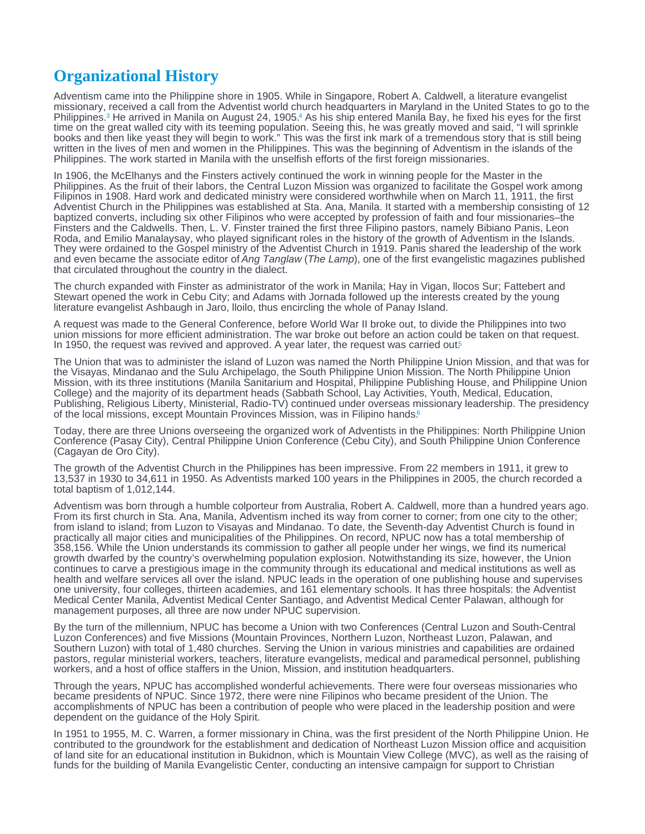## <span id="page-1-0"></span>Organizational History

Adventism came into the Philippine shore in 1905. While in Singapore, Robert A. Caldwell, a literature evangelist missionary, received a call from the Adventist world church headquarters in Maryland in the United States to go to the Philippines[.](#page-4-0)<sup>3</sup> He arrived in Manila on August 24, 1905.<sup>4</sup> As his ship entered Manila Bay, he fixed his eyes for the first time on the great walled city with its teeming population. Seeing this, he was greatly moved and said, "I will sprinkle books and then like yeast they will begin to work." This was the first ink mark of a tremendous story that is still being written in the lives of men and women in the Philippines. This was the beginning of Adventism in the islands of the Philippines. The work started in Manila with the unselfish efforts of the first foreign missionaries.

In 1906, the McElhanys and the Finsters actively continued the work in winning people for the Master in the Philippines. As the fruit of their labors, the Central Luzon Mission was organized to facilitate the Gospel work among Filipinos in 1908. Hard work and dedicated ministry were considered worthwhile when on March 11, 1911, the first Adventist Church in the Philippines was established at Sta. Ana, Manila. It started with a membership consisting of 12 baptized converts, including six other Filipinos who were accepted by profession of faith and four missionaries–the Finsters and the Caldwells. Then, L. V. Finster trained the first three Filipino pastors, namely Bibiano Panis, Leon Roda, and Emilio Manalaysay, who played significant roles in the history of the growth of Adventism in the Islands. They were ordained to the Gospel ministry of the Adventist Church in 1919. Panis shared the leadership of the work and even became the associate editor of Ang Tanglaw (The Lamp), one of the first evangelistic magazines published that circulated throughout the country in the dialect.

The church expanded with Finster as administrator of the work in Manila; Hay in Vigan, llocos Sur; Fattebert and Stewart opened the work in Cebu City; and Adams with Jornada followed up the interests created by the young literature evangelist Ashbaugh in Jaro, lloilo, thus encircling the whole of Panay Island.

A request was made to the General Conference, before World War II broke out, to divide the Philippines into two union missions for more efficient administration. The war broke out before an action could be taken on that request. In 19[5](#page-4-0)0, the request was revived and approved. A year later, the request was carried out.<sup>5</sup>

The Union that was to administer the island of Luzon was named the North Philippine Union Mission, and that was for the Visayas, Mindanao and the Sulu Archipelago, the South Philippine Union Mission. The North Philippine Union Mission, with its three institutions (Manila Sanitarium and Hospital, Philippine Publishing House, and Philippine Union College) and the majority of its department heads (Sabbath School, Lay Activities, Youth, Medical, Education, Publishing, Religious Liberty, Ministerial, Radio-TV) continued under overseas missionary leadership. The presidency of the local missions, except Mountain Provinces Mission, was in Filipino hands.[6](#page-4-0)

Today, there are three Unions overseeing the organized work of Adventists in the Philippines: North Philippine Union Conference (Pasay City), Central Philippine Union Conference (Cebu City), and South Philippine Union Conference (Cagayan de Oro City).

The growth of the Adventist Church in the Philippines has been impressive. From 22 members in 1911, it grew to 13,537 in 1930 to 34,611 in 1950. As Adventists marked 100 years in the Philippines in 2005, the church recorded a total baptism of 1,012,144.

Adventism was born through a humble colporteur from Australia, Robert A. Caldwell, more than a hundred years ago. From its first church in Sta. Ana, Manila, Adventism inched its way from corner to corner; from one city to the other; from island to island; from Luzon to Visayas and Mindanao. To date, the Seventh-day Adventist Church is found in practically all major cities and municipalities of the Philippines. On record, NPUC now has a total membership of 358,156. While the Union understands its commission to gather all people under her wings, we find its numerical growth dwarfed by the country's overwhelming population explosion. Notwithstanding its size, however, the Union continues to carve a prestigious image in the community through its educational and medical institutions as well as health and welfare services all over the island. NPUC leads in the operation of one publishing house and supervises one university, four colleges, thirteen academies, and 161 elementary schools. It has three hospitals: the Adventist Medical Center Manila, Adventist Medical Center Santiago, and Adventist Medical Center Palawan, although for management purposes, all three are now under NPUC supervision.

By the turn of the millennium, NPUC has become a Union with two Conferences (Central Luzon and South-Central Luzon Conferences) and five Missions (Mountain Provinces, Northern Luzon, Northeast Luzon, Palawan, and Southern Luzon) with total of 1,480 churches. Serving the Union in various ministries and capabilities are ordained pastors, regular ministerial workers, teachers, literature evangelists, medical and paramedical personnel, publishing workers, and a host of office staffers in the Union, Mission, and institution headquarters.

Through the years, NPUC has accomplished wonderful achievements. There were four overseas missionaries who became presidents of NPUC. Since 1972, there were nine Filipinos who became president of the Union. The accomplishments of NPUC has been a contribution of people who were placed in the leadership position and were dependent on the guidance of the Holy Spirit.

In 1951 to 1955, M. C. Warren, a former missionary in China, was the first president of the North Philippine Union. He contributed to the groundwork for the establishment and dedication of Northeast Luzon Mission office and acquisition of land site for an educational institution in Bukidnon, which is Mountain View College (MVC), as well as the raising of funds for the building of Manila Evangelistic Center, conducting an intensive campaign for support to Christian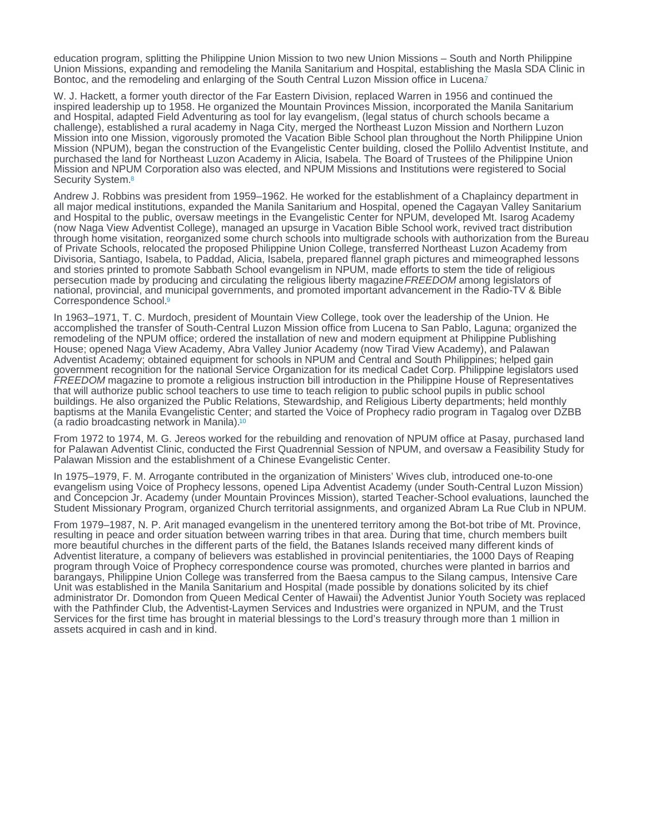<span id="page-2-0"></span>education program, splitting the Philippine Union Mission to two new Union Missions – South and North Philippine Union Missions, expanding and remodeling the Manila Sanitarium and Hospital, establishing the Masla SDA Clinic in Bontoc, and the remodeling and enlarging of the South Central Luzon Mission office in Lucena?

W. J. Hackett, a former youth director of the Far Eastern Division, replaced Warren in 1956 and continued the inspired leadership up to 1958. He organized the Mountain Provinces Mission, incorporated the Manila Sanitarium and Hospital, adapted Field Adventuring as tool for lay evangelism, (legal status of church schools became a challenge), established a rural academy in Naga City, merged the Northeast Luzon Mission and Northern Luzon Mission into one Mission, vigorously promoted the Vacation Bible School plan throughout the North Philippine Union Mission (NPUM), began the construction of the Evangelistic Center building, closed the Pollilo Adventist Institute, and purchased the land for Northeast Luzon Academy in Alicia, Isabela. The Board of Trustees of the Philippine Union Mission and NPUM Corporation also was elected, and NPUM Missions and Institutions were registered to Social Security System.<sup>[8](#page-5-0)</sup>

Andrew J. Robbins was president from 1959–1962. He worked for the establishment of a Chaplaincy department in all major medical institutions, expanded the Manila Sanitarium and Hospital, opened the Cagayan Valley Sanitarium and Hospital to the public, oversaw meetings in the Evangelistic Center for NPUM, developed Mt. Isarog Academy (now Naga View Adventist College), managed an upsurge in Vacation Bible School work, revived tract distribution through home visitation, reorganized some church schools into multigrade schools with authorization from the Bureau of Private Schools, relocated the proposed Philippine Union College, transferred Northeast Luzon Academy from Divisoria, Santiago, Isabela, to Paddad, Alicia, Isabela, prepared flannel graph pictures and mimeographed lessons and stories printed to promote Sabbath School evangelism in NPUM, made efforts to stem the tide of religious persecution made by producing and circulating the religious liberty magazine FREEDOM among legislators of national, provincial, and municipal governments, and promoted important advancement in the Radio-TV & Bible Correspondence School.[9](#page-5-0)

In 1963–1971, T. C. Murdoch, president of Mountain View College, took over the leadership of the Union. He accomplished the transfer of South-Central Luzon Mission office from Lucena to San Pablo, Laguna; organized the remodeling of the NPUM office; ordered the installation of new and modern equipment at Philippine Publishing House; opened Naga View Academy, Abra Valley Junior Academy (now Tirad View Academy), and Palawan Adventist Academy; obtained equipment for schools in NPUM and Central and South Philippines; helped gain government recognition for the national Service Organization for its medical Cadet Corp. Philippine legislators used FREEDOM magazine to promote a religious instruction bill introduction in the Philippine House of Representatives that will authorize public school teachers to use time to teach religion to public school pupils in public school buildings. He also organized the Public Relations, Stewardship, and Religious Liberty departments; held monthly baptisms at the Manila Evangelistic Center; and started the Voice of Prophecy radio program in Tagalog over DZBB (a radio broadcasting network in Manila).[10](#page-5-0)

From 1972 to 1974, M. G. Jereos worked for the rebuilding and renovation of NPUM office at Pasay, purchased land for Palawan Adventist Clinic, conducted the First Quadrennial Session of NPUM, and oversaw a Feasibility Study for Palawan Mission and the establishment of a Chinese Evangelistic Center.

In 1975–1979, F. M. Arrogante contributed in the organization of Ministers' Wives club, introduced one-to-one evangelism using Voice of Prophecy lessons, opened Lipa Adventist Academy (under South-Central Luzon Mission) and Concepcion Jr. Academy (under Mountain Provinces Mission), started Teacher-School evaluations, launched the Student Missionary Program, organized Church territorial assignments, and organized Abram La Rue Club in NPUM.

From 1979–1987, N. P. Arit managed evangelism in the unentered territory among the Bot-bot tribe of Mt. Province, resulting in peace and order situation between warring tribes in that area. During that time, church members built more beautiful churches in the different parts of the field, the Batanes Islands received many different kinds of Adventist literature, a company of believers was established in provincial penitentiaries, the 1000 Days of Reaping program through Voice of Prophecy correspondence course was promoted, churches were planted in barrios and barangays, Philippine Union College was transferred from the Baesa campus to the Silang campus, Intensive Care Unit was established in the Manila Sanitarium and Hospital (made possible by donations solicited by its chief administrator Dr. Domondon from Queen Medical Center of Hawaii) the Adventist Junior Youth Society was replaced with the Pathfinder Club, the Adventist-Laymen Services and Industries were organized in NPUM, and the Trust Services for the first time has brought in material blessings to the Lord's treasury through more than 1 million in assets acquired in cash and in kind.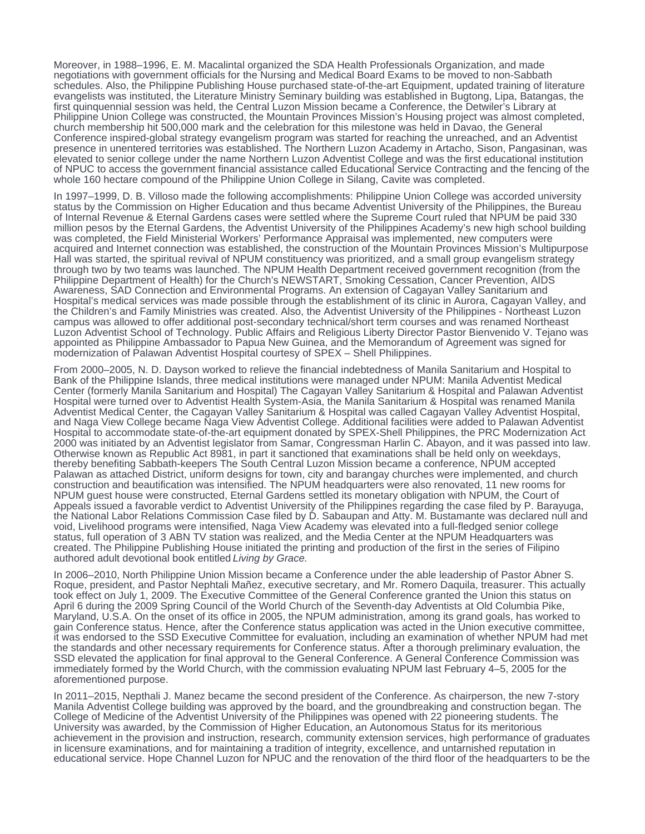Moreover, in 1988–1996, E. M. Macalintal organized the SDA Health Professionals Organization, and made negotiations with government officials for the Nursing and Medical Board Exams to be moved to non-Sabbath schedules. Also, the Philippine Publishing House purchased state-of-the-art Equipment, updated training of literature evangelists was instituted, the Literature Ministry Seminary building was established in Bugtong, Lipa, Batangas, the first quinquennial session was held, the Central Luzon Mission became a Conference, the Detwiler's Library at Philippine Union College was constructed, the Mountain Provinces Mission's Housing project was almost completed, church membership hit 500,000 mark and the celebration for this milestone was held in Davao, the General Conference inspired-global strategy evangelism program was started for reaching the unreached, and an Adventist presence in unentered territories was established. The Northern Luzon Academy in Artacho, Sison, Pangasinan, was elevated to senior college under the name Northern Luzon Adventist College and was the first educational institution of NPUC to access the government financial assistance called Educational Service Contracting and the fencing of the whole 160 hectare compound of the Philippine Union College in Silang, Cavite was completed.

In 1997–1999, D. B. Villoso made the following accomplishments: Philippine Union College was accorded university status by the Commission on Higher Education and thus became Adventist University of the Philippines, the Bureau of Internal Revenue & Eternal Gardens cases were settled where the Supreme Court ruled that NPUM be paid 330 million pesos by the Eternal Gardens, the Adventist University of the Philippines Academy's new high school building was completed, the Field Ministerial Workers' Performance Appraisal was implemented, new computers were acquired and Internet connection was established, the construction of the Mountain Provinces Mission's Multipurpose Hall was started, the spiritual revival of NPUM constituency was prioritized, and a small group evangelism strategy through two by two teams was launched. The NPUM Health Department received government recognition (from the Philippine Department of Health) for the Church's NEWSTART, Smoking Cessation, Cancer Prevention, AIDS Awareness, SAD Connection and Environmental Programs. An extension of Cagayan Valley Sanitarium and Hospital's medical services was made possible through the establishment of its clinic in Aurora, Cagayan Valley, and the Children's and Family Ministries was created. Also, the Adventist University of the Philippines - Northeast Luzon campus was allowed to offer additional post-secondary technical/short term courses and was renamed Northeast Luzon Adventist School of Technology. Public Affairs and Religious Liberty Director Pastor Bienvenido V. Tejano was appointed as Philippine Ambassador to Papua New Guinea, and the Memorandum of Agreement was signed for modernization of Palawan Adventist Hospital courtesy of SPEX – Shell Philippines.

From 2000–2005, N. D. Dayson worked to relieve the financial indebtedness of Manila Sanitarium and Hospital to Bank of the Philippine Islands, three medical institutions were managed under NPUM: Manila Adventist Medical Center (formerly Manila Sanitarium and Hospital) The Cagayan Valley Sanitarium & Hospital and Palawan Adventist Hospital were turned over to Adventist Health System-Asia, the Manila Sanitarium & Hospital was renamed Manila Adventist Medical Center, the Cagayan Valley Sanitarium & Hospital was called Cagayan Valley Adventist Hospital, and Naga View College became Naga View Adventist College. Additional facilities were added to Palawan Adventist Hospital to accommodate state-of-the-art equipment donated by SPEX-Shell Philippines, the PRC Modernization Act 2000 was initiated by an Adventist legislator from Samar, Congressman Harlin C. Abayon, and it was passed into law. Otherwise known as Republic Act 8981, in part it sanctioned that examinations shall be held only on weekdays, thereby benefiting Sabbath-keepers The South Central Luzon Mission became a conference, NPUM accepted Palawan as attached District, uniform designs for town, city and barangay churches were implemented, and church construction and beautification was intensified. The NPUM headquarters were also renovated, 11 new rooms for NPUM guest house were constructed, Eternal Gardens settled its monetary obligation with NPUM, the Court of Appeals issued a favorable verdict to Adventist University of the Philippines regarding the case filed by P. Barayuga, the National Labor Relations Commission Case filed by D. Sabaupan and Atty. M. Bustamante was declared null and void, Livelihood programs were intensified, Naga View Academy was elevated into a full-fledged senior college status, full operation of 3 ABN TV station was realized, and the Media Center at the NPUM Headquarters was created. The Philippine Publishing House initiated the printing and production of the first in the series of Filipino authored adult devotional book entitled Living by Grace.

In 2006–2010, North Philippine Union Mission became a Conference under the able leadership of Pastor Abner S. Roque, president, and Pastor Nephtali Mañez, executive secretary, and Mr. Romero Daquila, treasurer. This actually took effect on July 1, 2009. The Executive Committee of the General Conference granted the Union this status on April 6 during the 2009 Spring Council of the World Church of the Seventh-day Adventists at Old Columbia Pike, Maryland, U.S.A. On the onset of its office in 2005, the NPUM administration, among its grand goals, has worked to gain Conference status. Hence, after the Conference status application was acted in the Union executive committee, it was endorsed to the SSD Executive Committee for evaluation, including an examination of whether NPUM had met the standards and other necessary requirements for Conference status. After a thorough preliminary evaluation, the SSD elevated the application for final approval to the General Conference. A General Conference Commission was immediately formed by the World Church, with the commission evaluating NPUM last February 4–5, 2005 for the aforementioned purpose.

In 2011–2015, Nepthali J. Manez became the second president of the Conference. As chairperson, the new 7-story Manila Adventist College building was approved by the board, and the groundbreaking and construction began. The College of Medicine of the Adventist University of the Philippines was opened with 22 pioneering students. The University was awarded, by the Commission of Higher Education, an Autonomous Status for its meritorious achievement in the provision and instruction, research, community extension services, high performance of graduates in licensure examinations, and for maintaining a tradition of integrity, excellence, and untarnished reputation in educational service. Hope Channel Luzon for NPUC and the renovation of the third floor of the headquarters to be the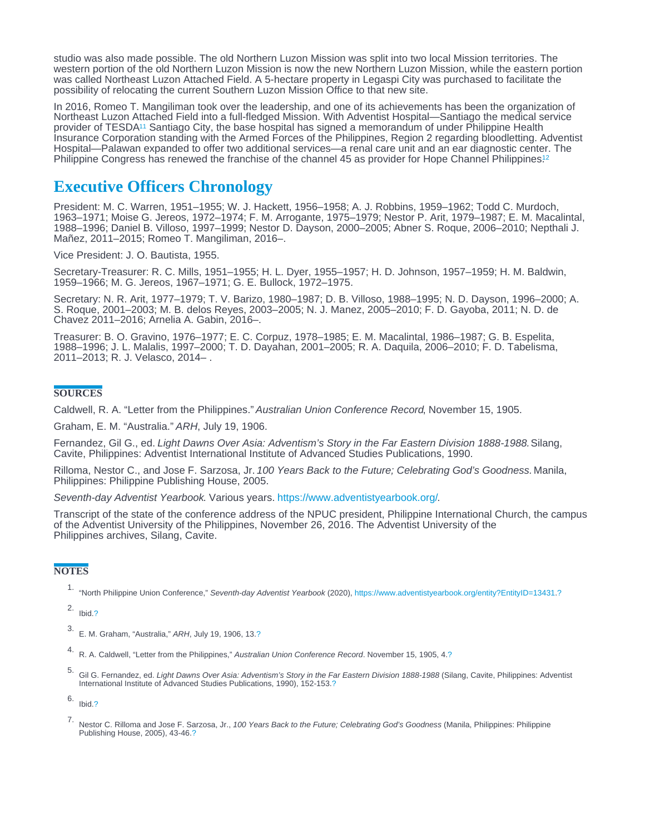<span id="page-4-0"></span>studio was also made possible. The old Northern Luzon Mission was split into two local Mission territories. The western portion of the old Northern Luzon Mission is now the new Northern Luzon Mission, while the eastern portion was called Northeast Luzon Attached Field. A 5-hectare property in Legaspi City was purchased to facilitate the possibility of relocating the current Southern Luzon Mission Office to that new site.

In 2016, Romeo T. Mangiliman took over the leadership, and one of its achievements has been the organization of Northeast Luzon Attached Field into a full-fledged Mission. With Adventist Hospital—Santiago the medical service provider of TESDA<sup>11</sup> Santiago City, the base hospital has signed a memorandum of under Philippine Health Insurance Corporation standing with the Armed Forces of the Philippines, Region 2 regarding bloodletting. Adventist Hospital—Palawan expanded to offer two additional services—a renal care unit and an ear diagnostic center. The Philippine Congress has renewed the franchise of the channel 45 as provider for Hope Channel Philippines.<sup>[12](#page-5-0)</sup>

## Executive Officers Chronology

President: M. C. Warren, 1951–1955; W. J. Hackett, 1956–1958; A. J. Robbins, 1959–1962; Todd C. Murdoch, 1963–1971; Moise G. Jereos, 1972–1974; F. M. Arrogante, 1975–1979; Nestor P. Arit, 1979–1987; E. M. Macalintal, 1988–1996; Daniel B. Villoso, 1997–1999; Nestor D. Dayson, 2000–2005; Abner S. Roque, 2006–2010; Nepthali J. Mañez, 2011–2015; Romeo T. Mangiliman, 2016–.

Vice President: J. O. Bautista, 1955.

Secretary-Treasurer: R. C. Mills, 1951–1955; H. L. Dyer, 1955–1957; H. D. Johnson, 1957–1959; H. M. Baldwin, 1959–1966; M. G. Jereos, 1967–1971; G. E. Bullock, 1972–1975.

Secretary: N. R. Arit, 1977–1979; T. V. Barizo, 1980–1987; D. B. Villoso, 1988–1995; N. D. Dayson, 1996–2000; A. S. Roque, 2001–2003; M. B. delos Reyes, 2003–2005; N. J. Manez, 2005–2010; F. D. Gayoba, 2011; N. D. de Chavez 2011–2016; Arnelia A. Gabin, 2016–.

Treasurer: B. O. Gravino, 1976–1977; E. C. Corpuz, 1978–1985; E. M. Macalintal, 1986–1987; G. B. Espelita, 1988–1996; J. L. Malalis, 1997–2000; T. D. Dayahan, 2001–2005; R. A. Daquila, 2006–2010; F. D. Tabelisma, 2011–2013; R. J. Velasco, 2014– .

### **SOURCES**

Caldwell, R. A. "Letter from the Philippines." Australian Union Conference Record, November 15, 1905.

Graham, E. M. "Australia." ARH, July 19, 1906.

Fernandez, Gil G., ed. Light Dawns Over Asia: Adventism's Story in the Far Eastern Division 1888-1988. Silang, Cavite, Philippines: Adventist International Institute of Advanced Studies Publications, 1990.

Rilloma, Nestor C., and Jose F. Sarzosa, Jr. 100 Years Back to the Future; Celebrating God's Goodness. Manila, Philippines: Philippine Publishing House, 2005.

Seventh-day Adventist Yearbook. Various years.<https://www.adventistyearbook.org/>.

Transcript of the state of the conference address of the NPUC president, Philippine International Church, the campus of the Adventist University of the Philippines, November 26, 2016. The Adventist University of the Philippines archives, Silang, Cavite.

#### **NOTES**

1. "North Philippine Union Conference," Seventh-day Adventist Yearbook (2020), [https://www.adventistyearbook.org/entity?EntityID=13431](/www/about:blank)[.?](#page-0-0)

2. Ibid[.?](#page-0-0)

3. E. M. Graham, "Australia," ARH, July 19, 1906, 13[.?](#page-1-0)

- 4. R. A. Caldwell, "Letter from the Philippines," Australian Union Conference Record. November 15, 1905, 4[.?](#page-1-0)
- 5. Gil G. Fernandez, ed. Light Dawns Over Asia: Adventism's Story in the Far Eastern Division 1888-1988 (Silang, Cavite, Philippines: Adventist International Institute of Advanced Studies Publications, 1990), 152-153[.?](#page-1-0)

6. Ibid[.?](#page-1-0)

7. Nestor C. Rilloma and Jose F. Sarzosa, Jr., 100 Years Back to the Future; Celebrating God's Goodness (Manila, Philippines: Philippine Publishing House, 2005), 43-46[.?](#page-2-0)